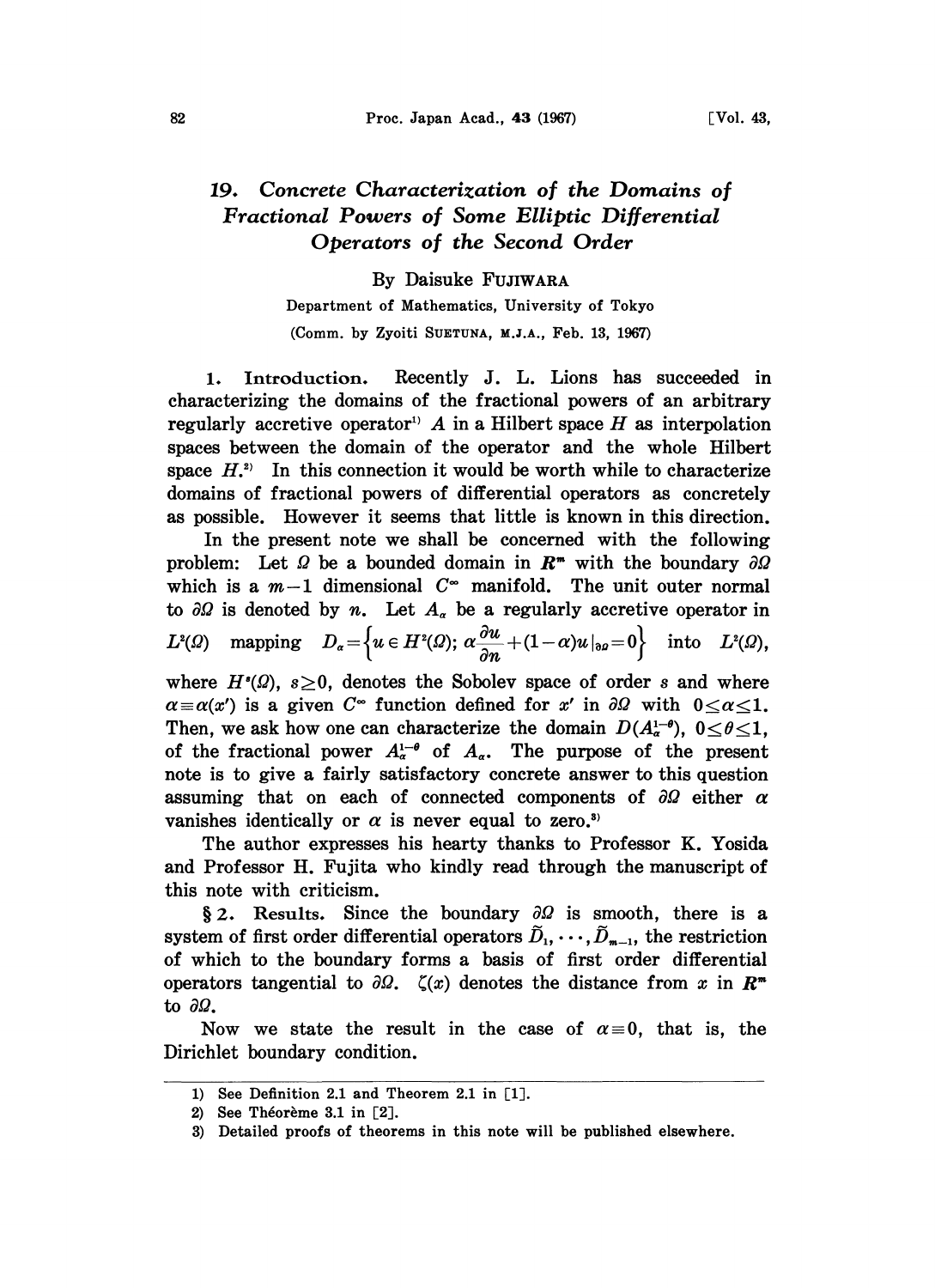## 82 Proc. Japan Acad., 43 (1967) [Vol. 43,

## 19. Concrete Characterization of the Domains of Fractional Powers of Some Elliptic Differential Operators of the Second Order

By Daisuke FUJIWARA

Department of Mathematics, University of Tokyo (Comm. by Zyoiti SUETUNA, M.J.A., Feb. 13, 1967)

1. Introduction. Recently J. L. Lions has succeeded in characterizing the domains of the fractional powers of an arbitrary regularly accretive operator<sup>1</sup>  $A$  in a Hilbert space  $H$  as interpolation spaces between the domain of the operator and the whole Hilbert space  $H^{(2)}$ . In this connection it would be worth while to characterize domains of fractional powers of differential operators as concretely as possible. However it seems that little is known in this direction.

In the present note we shall be concerned with the following problem: Let  $\Omega$  be a bounded domain in  $\mathbb{R}^m$  with the boundary  $\partial \Omega$ which is a  $m-1$  dimensional  $C^{\infty}$  manifold. The unit outer normal to  $\partial\Omega$  is denoted by n. Let  $A_{\alpha}$  be a regularly accretive operator in  $L^2(\Omega)$  mapping  $D_{\alpha}=\left\{u\in H^2(\Omega);\ \alpha\frac{\partial u}{\partial n}+(1-\alpha)u\left|_{\mathfrak{d}\rho}=0\right.\right\}$  into  $L^2(\Omega)$ ,

where  $H<sup>s</sup>(\Omega)$ ,  $s \geq 0$ , denotes the Sobolev space of order s and where  $\alpha = \alpha(x')$  is a given  $C^{\infty}$  function defined for x' in  $\partial \Omega$  with  $0 \le \alpha \le 1$ . Then, we ask how one can characterize the domain  $D(A_{\alpha}^{1-\theta})$ ,  $0 \le \theta \le 1$ , of the fractional power  $A_{\alpha}^{1-\theta}$  of  $A_{\alpha}$ . The purpose of the present of the fractional power  $A_{\alpha}^{1-\theta}$  of  $A_{\alpha}$ . The purpose of the present note is to give a fairly satisfactory concrete answer to this question assuming that on each of connected components of  $\partial\Omega$  either  $\alpha$ vanishes identically or  $\alpha$  is never equal to zero.<sup>3)</sup>

The author expresses his hearty thanks to Professor K. Yosida and Professor H. Fujita who kindly read through the manuscript of this note with criticism.

§ 2. Results. Since the boundary  $\partial\Omega$  is smooth, there is a system of first order differential operators  $\tilde{D}_1, \cdots, \tilde{D}_{m-1}$ , the restriction of which to the boundary forms a basis of first order differential operators tangential to  $\partial\Omega$ .  $\zeta(x)$  denotes the distance from x in  $\mathbb{R}^m$ to  $\partial\Omega$ .

Now we state the result in the case of  $\alpha=0$ , that is, the Dirichlet boundary condition.

<sup>1)</sup> See Definition 2.1 and Theorem 2.1 in [1].

<sup>2)</sup> See Théorème 3.1 in  $[2]$ .

<sup>3)</sup> Detailed proofs of theorems in this note will be published elsewhere.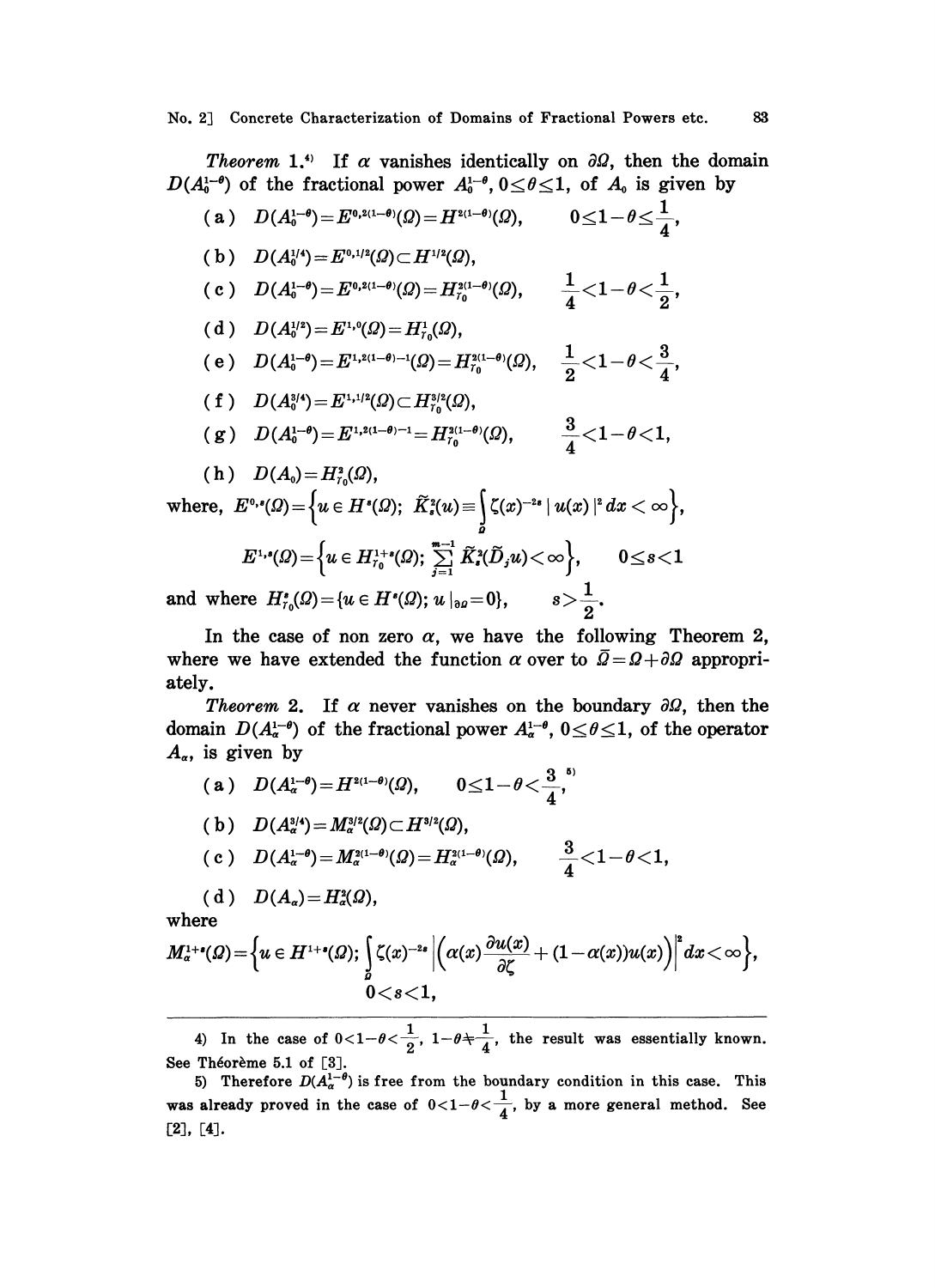Theorem 1.<sup>4)</sup> If  $\alpha$  vanishes identically on  $\partial\Omega$ , then the domain  $D(A_0^{1-\theta})$  of the fractional power  $A_0^{1-\theta}$ ,  $0 \le \theta \le 1$ , of  $A_0$  is given by

 $\mathtt{(a)} \quad D(A_\mathtt{0}^{1-\theta})\!=\!E^{\mathtt{(0,2(1-\theta)}}(\varOmega)\!=\!H^{\mathtt{2(1-\theta)}}(\varOmega), \qquad 0\!\leq\! 1\!-\!\theta\!\leq\!\frac{1}{\!-\!\theta},$ (b)  $D(A_0^{1/4}) = E^{0,1/2}(Q) \subset H^{1/2}(Q),$ (c)  $D(A_0^{1-\theta}) = E^{0,2(1-\theta)}(\Omega) = H_{r_0}^{2(1-\theta)}(\Omega), \qquad \frac{1}{4} < 1 - \theta < \frac{1}{2},$ ( d )  $D(A_0^{1/2}) = E^{1,0}(\Omega) = H^1_{r_0}(\Omega),$ (e)  $D(A_0^{1-\theta}) = E^{1,2(1-\theta)-1}(\Omega) = H_{\tau_0}^{2(1-\theta)}(\Omega), \quad \frac{1}{2} < 1 - \theta < \frac{3}{4},$ ( f )  $D(A_0^{3/4}) = E^{1,1/2}(\Omega) \subset H_{r_0}^{3/2}(\Omega)$ ,  $\text{and}\quad D(A_0^{1-\theta})\!=\!E^{1,2(1-\theta)-1}\!=\!H^{2(1-\theta)}_{\tau_0}(\varOmega),\qquad \frac{3}{4}\!<\!1\!-\!\theta\!<\!1.$ (h)  $D(A_0) = H_{T_0}^2(\Omega)$ , where,  $E^{1,s}(Q) = \{y \in H^{1+s}(Q): \sum_{n=1}^{m-1} \tilde{K}^2(\tilde{D},y) < \infty\},$  0<8<1

and where 
$$
H_{r_0}^*(\Omega) = \{u \in H^*(\Omega); u|_{\partial \Omega} = 0\}, \qquad s > \frac{1}{2}.
$$

In the case of non zero  $\alpha$ , we have the following Theorem 2, where we have extended the function  $\alpha$  over to  $\overline{Q} = \Omega + \partial \Omega$  appropriately.

Theorem 2. If  $\alpha$  never vanishes on the boundary  $\partial\Omega$ , then the domain  $D(A_{\alpha}^{1-\theta})$  of the fractional power  $A_{\alpha}^{1-\theta}$ ,  $0 \le \theta \le 1$ , of the operator  $A_{\alpha}$ , is given by

(a)  $D(A_\alpha^{1-\theta})=H^{2(1-\theta)}(\Omega)$ ,  $0\leq 1-\theta<\frac{3}{4}$ , (b)  $D(A_{\alpha}^{3/4})=M_{\alpha}^{3/2}(\Omega)\subset H^{3/2}(\Omega),$  $\hskip -3cm \begin{array}{ll} \hbox{ } & \hbox{ } \hbox{ } & \hbox{ } \end{array} \begin{aligned} & D(A_\alpha^{1-\theta})\hskip -3cm = & M_\alpha^{2(1-\theta)}(\varOmega) = H_\alpha^{2(1-\theta)}(\varOmega), \qquad \frac{3}{4} \hskip -3cm < & \hbox{ } \end{aligned} \begin{aligned} & \hskip -3cm \hbox{ } & \hskip -4cm \hbox{ } & \hskip -4cm \hskip -4cm \hskip -4cm \hskip -4cm \hskip -4cm & \hskip -4cm \hskip -4cm \hskip -4cm & \hskip -4cm \hskip -4cm \hskip -4cm & \$ ( d )  $D(A_{\alpha}) = H_{\alpha}^{2}(\Omega),$ 

where

$$
M^{1+s}_\alpha(\varOmega)\!=\!\Big\{ \!u\in H^{1+s}(\varOmega); \,\Big\{\zeta(x)^{-2s}\left|\Big(\alpha(x)\frac{\partial u(x)}{\partial \zeta}+(1\!-\!\alpha(x))u(x)\Big)\right|^s\!dx\!<\!\infty\Big\},\\ \!0\!<\!s\!<\!1,
$$

4) In the case of  $0<1-\theta<\frac{1}{2}$ ,  $1-\theta+\frac{1}{4}$ , the result was essentially known. See Théorème 5.1 of [3].

5) Therefore  $D(A_{\alpha}^{1-\theta})$  is free from the boundary condition in this case. This was already proved in the case of  $0<1-\theta<\frac{1}{4}$ , by a more general method. See [2], [4].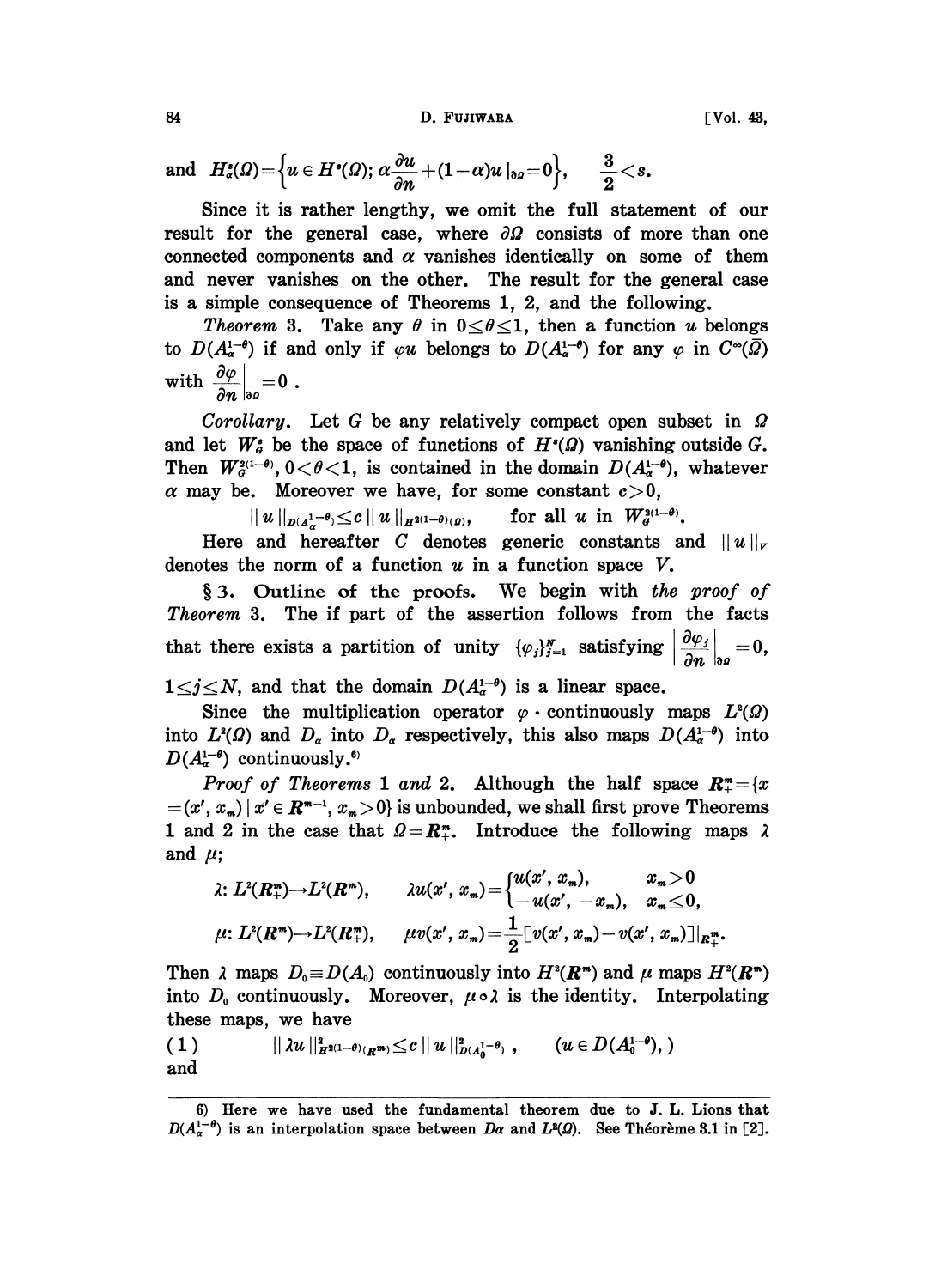## 84 D. FUJIWARA [Vol. 43,

and 
$$
H_a^*(\Omega) = \Big\{ u \in H^*(\Omega); \ \alpha \frac{\partial u}{\partial n} + (1 - \alpha) u \big|_{\partial \Omega} = 0 \Big\}, \qquad \frac{3}{2} < s.
$$

Since it is rather lengthy, we omit the full statement of our result for the general case, where  $\partial\Omega$  consists of more than one connected components and  $\alpha$  vanishes identically on some of them and never vanishes on the other. The result for the general case is a simple consequence of Theorems 1, 2, and the following.

Theorem 3. Take any  $\theta$  in  $0 \le \theta \le 1$ , then a function u belongs to  $D(A_{\alpha}^{1-\theta})$  if and only if  $\varphi u$  belongs to  $D(A_{\alpha}^{1-\theta})$  for any  $\varphi$  in  $C^{\infty}(\overline{\Omega})$ with  $\frac{\partial \varphi}{\partial n}\Big|_{\partial p}=0$ .

Corollary. Let G be any relatively compact open subset in  $\Omega$ and let  $W_g^*$  be the space of functions of  $H^*(\Omega)$  vanishing outside G. Then  $W^{2(1-\theta)}_{\sigma}$ ,  $0<\theta<1$ , is contained in the domain  $D(A^{1-\theta}_{\sigma})$ , whatever  $\alpha$  may be. Moreover we have, for some constant  $c > 0$ ,<br>  $||u||_{p(A_{\alpha}^{1-\theta})} \leq c ||u||_{H^{2(1-\theta)}(\rho)},$  for all u in  $W_{\sigma}^{2(1-\theta)}$ .

$$
||u||_{p(A^{1-\theta})} \leq c ||u||_{H^{2(1-\theta)}(\rho)}, \qquad \text{for all } u \text{ in } W^{2(1-\theta)}_{\sigma}.
$$

Here and hereafter C denotes generic constants and  $||u||_r$ denotes the norm of a function  $u$  in a function space  $V$ .

§ 3. Outline of the proofs. We begin with the proof of Theorem 3. The if part of the assertion follows from the facts that there exists a partition of unity  $\{\varphi_j\}_{j=1}^N$  satisfying  $\left|\frac{\partial \varphi_j}{\partial n}\right|_{\partial \varphi}=0$ ,  $1 \le j \le N$ , and that the domain  $D(A_\alpha^{1-\theta})$  is a linear space.

Since the multiplication operator  $\varphi$  continuously maps  $L^2(\Omega)$ into  $L^2(\Omega)$  and  $D_{\alpha}$  into  $D_{\alpha}$  respectively, this also maps  $D(A_{\alpha}^{1-\theta})$  into  $D(A_{\alpha}^{1-\theta})$  continuously.<sup>6)</sup>

*Proof of Theorems* 1 and 2. Although the half space  $R_{+}^{m} = \{x \}$ (x',  $x_m$ ) |  $x' \in \mathbb{R}^{m-1}$ ,  $x_m > 0$ } is unbounded, we shall first prove Theorems 1 and 2 in the case that  $Q = \mathbb{R}^m_+$ . Introduce the following maps and  $\mu$ ;

$$
\lambda: L^{2}(R_{+}^{m}) \to L^{2}(R_{-}^{m}), \qquad \lambda u(x', x_{m}) = \begin{cases} u(x', x_{m}), & x_{m} > 0 \\ -u(x', -x_{m}), & x_{m} \leq 0, \end{cases}
$$
  

$$
\mu: L^{2}(R_{-}^{m}) \to L^{2}(R_{+}^{m}), \qquad \mu v(x', x_{m}) = \frac{1}{2} [v(x', x_{m}) - v(x', x_{m})]|_{R_{+}^{m}}.
$$

Then  $\lambda$  maps  $D_0 \equiv D(A_0)$  continuously into  $H^2(\mathbb{R}^m)$  and  $\mu$  maps  $H^2(\mathbb{R}^m)$ into  $D_0$  continuously. Moreover,  $\mu \circ \lambda$  is the identity. Interpolating these maps, we have

(1) 
$$
\| \lambda u \|_{H^{2(1-\theta)}(R^{m})}^2 \leq c \| u \|_{D(A_0^{1-\theta})}^2, \qquad (u \in D(A_0^{1-\theta}),)
$$
 and

<sup>6)</sup> Here we have used the fundamental theorem due to J. L. Lions that  $D(A_{\alpha}^{1-\theta})$  is an interpolation space between  $D_{\alpha}$  and  $L^2(\Omega)$ . See Théorème 3.1 in [2].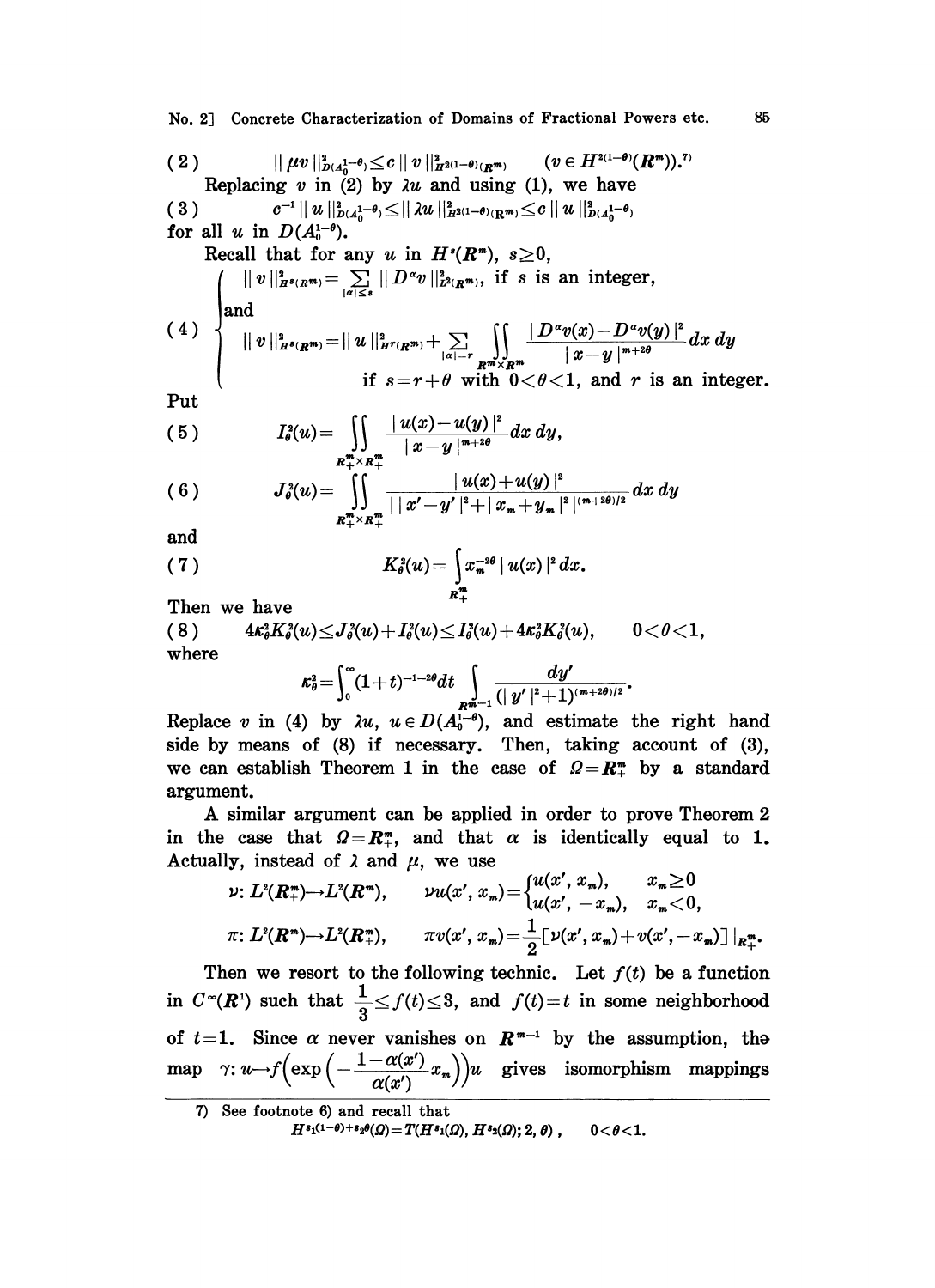No. 2] Concrete Characterization of Domains of Fractional Powers etc. 85

(2) 
$$
|| \mu v ||_{D(A_0^{1-\theta})}^2 \le c || v ||_{H^{2(1-\theta)}(R^m)}^2
$$
 (v  $\in H^{2(1-\theta)}(R^m)$ ).<sup>7</sup>  
Replacing v in (2) by  $\lambda u$  and using (1), we have  
(3)  $c^{-1} || u ||_{D(A_0^{1-\theta})}^2 \le || \lambda u ||_{H^{2(1-\theta)}(\mathbb{R}^m)}^2 \le c || u ||_{D(A_0^{1-\theta})}^2$   
for all u in  $D(A_0^{1-\theta})$ .  
Recall that for any u in  $H^s(R^m)$ ,  $s \ge 0$ ,  
 $\left\| || v ||_{H^{s}(R^m)}^2 = \sum_{|\alpha| \le s} || D^{\alpha} v ||_{L^{2}(R^m)}^2$ , if s is an integer,  
and  
(4)  $|| v ||_{H^{s}(R^m)}^2 = || u ||_{H^r(R^m)}^2 + \sum_{|\alpha| = r} \int_{R^m \times R^m} \frac{|| D^{\alpha} v(x) - D^{\alpha} v(y) ||^2}{|x - y|^{m + 2\theta}} dx dy$   
if  $s = r + \theta$  with  $0 < \theta < 1$ , and r is an integer.  
Put  
(5)  $I_{\theta}^2(u) = \iint \frac{|| u(x) - u(y) ||^2}{|x - y|^{m + 2\theta}} dx dy$ ,

$$
(6) \tJ_{\theta}^{2}(u)=\iint\limits_{R_{+}^{m}\times R_{+}^{m}}\frac{|u(x)+u(y)|^{2}}{||x'-y'|^{2}+|x_{m}+y_{m}|^{2}|^{(m+2\theta)/2}}dx dy
$$

and

(7) 
$$
K_{\theta}^{2}(u) = \int_{R_{+}^{m}} x_{n}^{-2\theta} |u(x)|^{2} dx.
$$

Then we have

(8) 
$$
4\kappa_{\theta}^2 K_{\theta}^2(u) \leq J_{\theta}^2(u) + I_{\theta}^2(u) \leq I_{\theta}^2(u) + 4\kappa_{\theta}^2 K_{\theta}^2(u), \qquad 0 < \theta < 1,
$$
 where

$$
\kappa_{\theta}^2 = \int_0^{\infty} (1+t)^{-1-2\theta} dt \int_{R^m-1} \frac{dy'}{(|y'|^2+1)^{(m+2\theta)/2}}.
$$

Replace v in (4) by  $\lambda u$ ,  $u \in D(A_0^{1-\theta})$ , and estimate the right hand side by means of (8) if necessary. Then, taking account of (8), we can establish Theorem 1 in the case of  $\mathcal{Q} = \mathbb{R}^m$  by a standard argument.

A similar argument can be applied in order to prove Theorem 2 in the case that  $\Omega = \mathbb{R}^n_+$ , and that  $\alpha$  is identically equal to 1.<br>
Actually, instead of  $\lambda$  and  $\mu$ , we use<br>  $\nu: L^2(\mathbb{R}^n_+) \to L^2(\mathbb{R}^m_+)$ ,  $\nu u(x', x_m) = \begin{cases} u(x', x_m), & x_m \ge 0 \\ u(x' - x_n) & x > 0 \end{cases}$ Actually, instead of  $\lambda$  and  $\mu$ , we use

$$
\nu: L^{2}(R_{+}^{m})\to L^{2}(R_{-}^{m}), \qquad \nu u(x', x_{m})=\begin{cases} u(x', x_{m}), & x_{m}\geq 0 \\ u(x', -x_{m}), & x_{m}<0, \end{cases}
$$

$$
\pi: L^{2}(R_{-}^{m})\to L^{2}(R_{+}^{m}), \qquad \pi v(x', x_{m})=\frac{1}{2}\big[\nu(x', x_{m})+v(x', -x_{m})\big]\big|_{R_{+}^{m}}.
$$

Then we resort to the following technic. Let  $f(t)$  be a function  $\pi: L^{n}(\mathbf{R}^{m}) \rightarrow L^{n}(\mathbf{R}^{m}_{+}),$   $\pi v(x', x_{m}) = \frac{1}{2} \left[ \nu(x', x_{m}) + v(x', -x_{m}) \right] |_{\mathbf{R}^{m}_{+}}.$ <br>Then we resort to the following technic. Let  $f(t)$  be a function<br>in  $C^{\infty}(\mathbf{R}^{1})$  such that  $\frac{1}{2} \leq f(t) \leq 3$ , and  $f(t) = t$ of  $t=1$ . Since  $\alpha$  never vanishes on  $R^{m-1}$  by the assumption, the of  $t=1$ . Since  $\alpha$  never vanishes on  $\mathbb{R}^{m-1}$  by the assumption, the map  $\gamma: u \rightarrow f(\exp\left(-\frac{1-\alpha(x')}{\alpha(x')}x_m\right))u$  gives isomorphism mappings

<sup>7)</sup> See footnote 6) and recall that

 $H^{s_1(1-\theta)+s_2\theta}(Q) = T(H^{s_1}(Q), H^{s_2}(Q); 2, \theta), \qquad 0 < \theta < 1.$